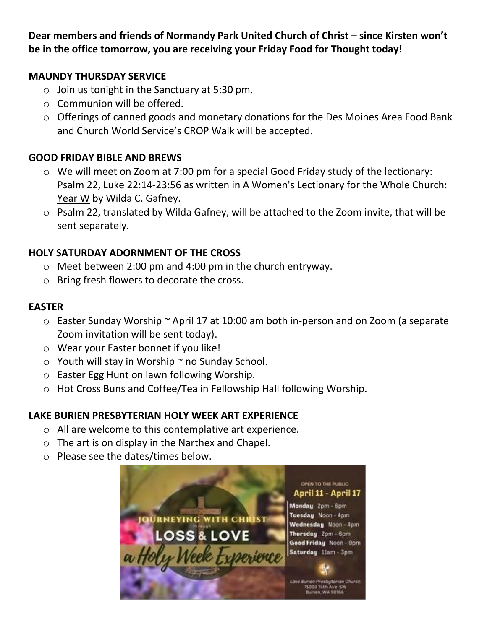**Dear members and friends of Normandy Park United Church of Christ – since Kirsten won't be in the office tomorrow, you are receiving your Friday Food for Thought today!**

#### **MAUNDY THURSDAY SERVICE**

- $\circ$  Join us tonight in the Sanctuary at 5:30 pm.
- o Communion will be offered.
- o Offerings of canned goods and monetary donations for the Des Moines Area Food Bank and Church World Service's CROP Walk will be accepted.

### **GOOD FRIDAY BIBLE AND BREWS**

- o We will meet on Zoom at 7:00 pm for a special Good Friday study of the lectionary: Psalm 22, Luke 22:14-23:56 as written in A Women's Lectionary for the Whole Church: Year W by Wilda C. Gafney.
- o Psalm 22, translated by Wilda Gafney, will be attached to the Zoom invite, that will be sent separately.

### **HOLY SATURDAY ADORNMENT OF THE CROSS**

- o Meet between 2:00 pm and 4:00 pm in the church entryway.
- o Bring fresh flowers to decorate the cross.

#### **EASTER**

- $\circ$  Easter Sunday Worship  $\sim$  April 17 at 10:00 am both in-person and on Zoom (a separate Zoom invitation will be sent today).
- o Wear your Easter bonnet if you like!
- $\circ$  Youth will stay in Worship  $\sim$  no Sunday School.
- o Easter Egg Hunt on lawn following Worship.
- o Hot Cross Buns and Coffee/Tea in Fellowship Hall following Worship.

### **LAKE BURIEN PRESBYTERIAN HOLY WEEK ART EXPERIENCE**

- o All are welcome to this contemplative art experience.
- o The art is on display in the Narthex and Chapel.
- o Please see the dates/times below.